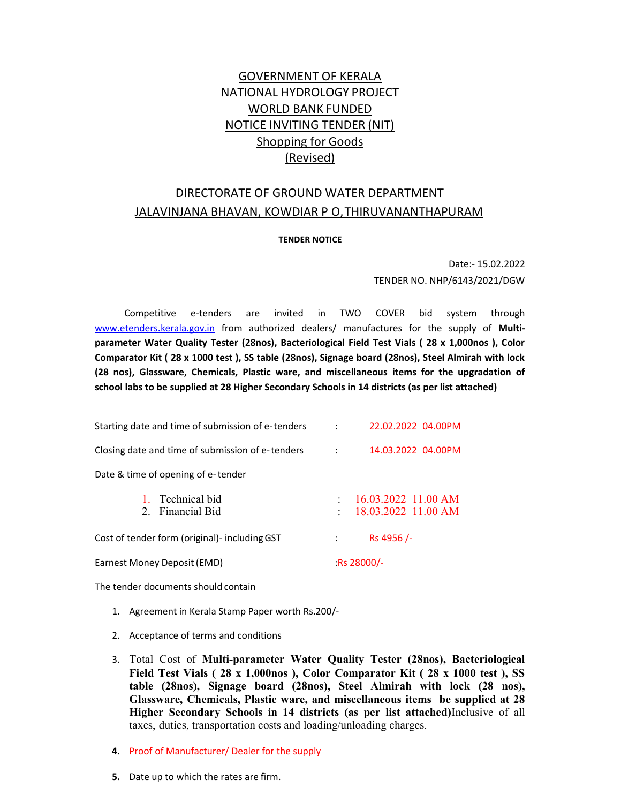# GOVERNMENT OF KERALA NATIONAL HYDROLOGY PROJECT WORLD BANK FUNDED NOTICE INVITING TENDER (NIT) Shopping for Goods (Revised)

# DIRECTORATE OF GROUND WATER DEPARTMENT JALAVINJANA BHAVAN, KOWDIAR P O, THIRUVANANTHAPURAM

# **TENDER NOTICE**

Date:- 15.02.2022 TENDER NO. NHP/6143/2021/DGW

Competitive e-tenders are invited in TWO COVER bid system through www.etenders.kerala.gov.in from authorized dealers/ manufactures for the supply of Multiparameter Water Quality Tester (28nos), Bacteriological Field Test Vials ( 28 x 1,000nos ), Color Comparator Kit ( 28 x 1000 test ), SS table (28nos), Signage board (28nos), Steel Almirah with lock (28 nos), Glassware, Chemicals, Plastic ware, and miscellaneous items for the upgradation of school labs to be supplied at 28 Higher Secondary Schools in 14 districts (as per list attached)

| ÷                                                                  | 2. Financial Bid<br>Cost of tender form (original)- including GST |           | 18.03.2022 11.00 AM<br>Rs 4956/- |
|--------------------------------------------------------------------|-------------------------------------------------------------------|-----------|----------------------------------|
|                                                                    | Date & time of opening of e-tender                                |           |                                  |
| Technical bid<br>16.03.2022 11.00 AM<br>1.<br>$\ddot{\phantom{0}}$ |                                                                   | $\sim$ 1. | 14.03.2022 04.00PM               |
| Closing date and time of submission of e-tenders                   | Starting date and time of submission of e-tenders                 |           | 22.02.2022 04.00PM               |

The tender documents should contain

- 1. Agreement in Kerala Stamp Paper worth Rs.200/-
- 2. Acceptance of terms and conditions
- 3. Total Cost of Multi-parameter Water Quality Tester (28nos), Bacteriological Field Test Vials ( 28 x 1,000nos ), Color Comparator Kit ( 28 x 1000 test ), SS table (28nos), Signage board (28nos), Steel Almirah with lock (28 nos), Glassware, Chemicals, Plastic ware, and miscellaneous items be supplied at 28 Higher Secondary Schools in 14 districts (as per list attached)Inclusive of all taxes, duties, transportation costs and loading/unloading charges.
- 4. Proof of Manufacturer/ Dealer for the supply
- 5. Date up to which the rates are firm.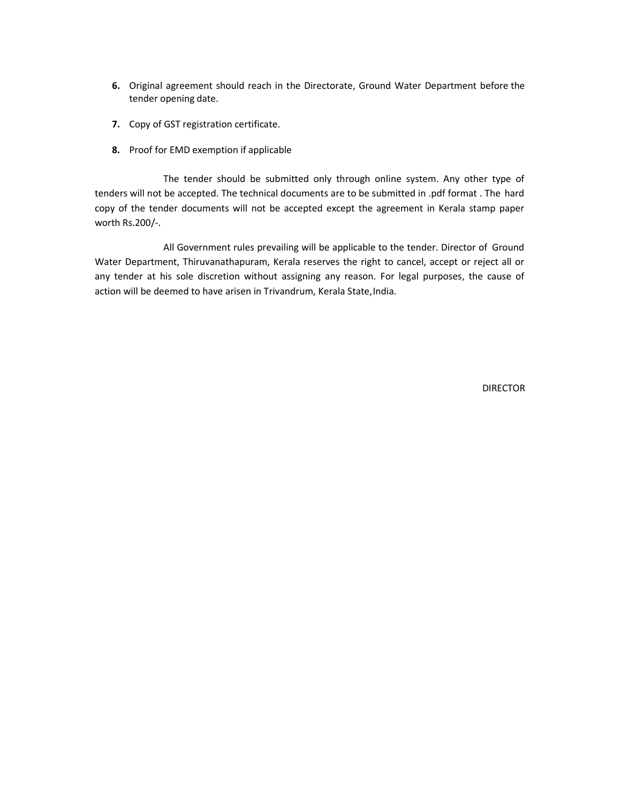- 6. Original agreement should reach in the Directorate, Ground Water Department before the tender opening date.
- 7. Copy of GST registration certificate.
- 8. Proof for EMD exemption if applicable

The tender should be submitted only through online system. Any other type of tenders will not be accepted. The technical documents are to be submitted in .pdf format . The hard copy of the tender documents will not be accepted except the agreement in Kerala stamp paper worth Rs.200/-.

All Government rules prevailing will be applicable to the tender. Director of Ground Water Department, Thiruvanathapuram, Kerala reserves the right to cancel, accept or reject all or any tender at his sole discretion without assigning any reason. For legal purposes, the cause of action will be deemed to have arisen in Trivandrum, Kerala State, India.

DIRECTOR